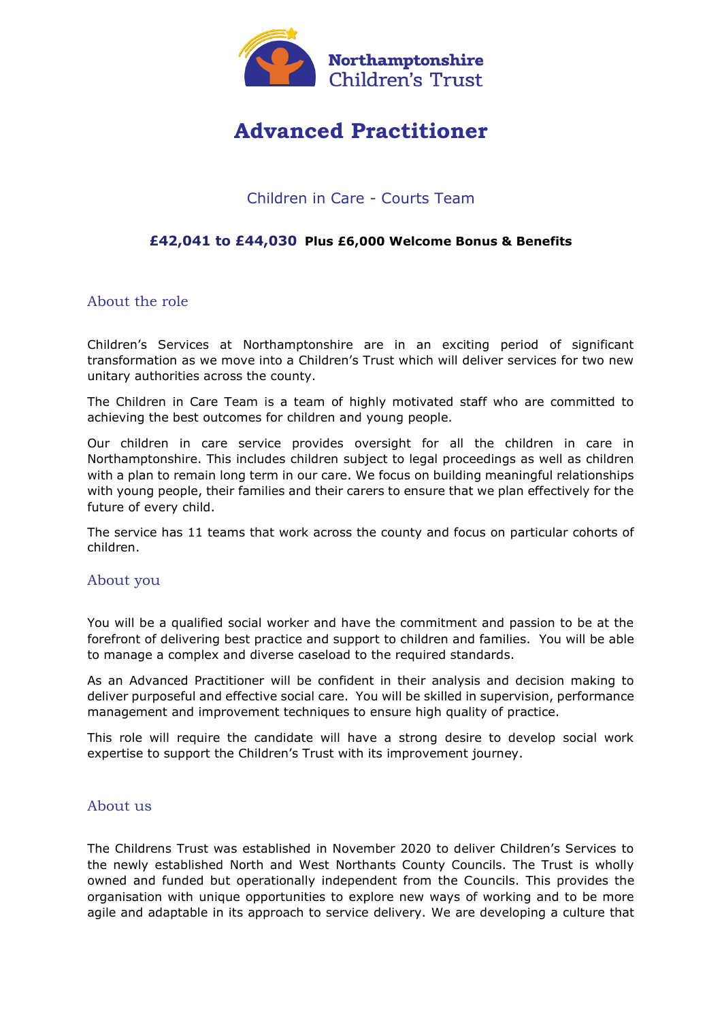

# **Advanced Practitioner**

# Children in Care - Courts Team

## **£42,041 to £44,030 Plus £6,000 Welcome Bonus & Benefits**

#### About the role

Children's Services at Northamptonshire are in an exciting period of significant transformation as we move into a Children's Trust which will deliver services for two new unitary authorities across the county.

The Children in Care Team is a team of highly motivated staff who are committed to achieving the best outcomes for children and young people.

Our children in care service provides oversight for all the children in care in Northamptonshire. This includes children subject to legal proceedings as well as children with a plan to remain long term in our care. We focus on building meaningful relationships with young people, their families and their carers to ensure that we plan effectively for the future of every child.

The service has 11 teams that work across the county and focus on particular cohorts of children.

#### About you

You will be a qualified social worker and have the commitment and passion to be at the forefront of delivering best practice and support to children and families. You will be able to manage a complex and diverse caseload to the required standards.

As an Advanced Practitioner will be confident in their analysis and decision making to deliver purposeful and effective social care. You will be skilled in supervision, performance management and improvement techniques to ensure high quality of practice.

This role will require the candidate will have a strong desire to develop social work expertise to support the Children's Trust with its improvement journey.

#### About us

The Childrens Trust was established in November 2020 to deliver Children's Services to the newly established North and West Northants County Councils. The Trust is wholly owned and funded but operationally independent from the Councils. This provides the organisation with unique opportunities to explore new ways of working and to be more agile and adaptable in its approach to service delivery. We are developing a culture that